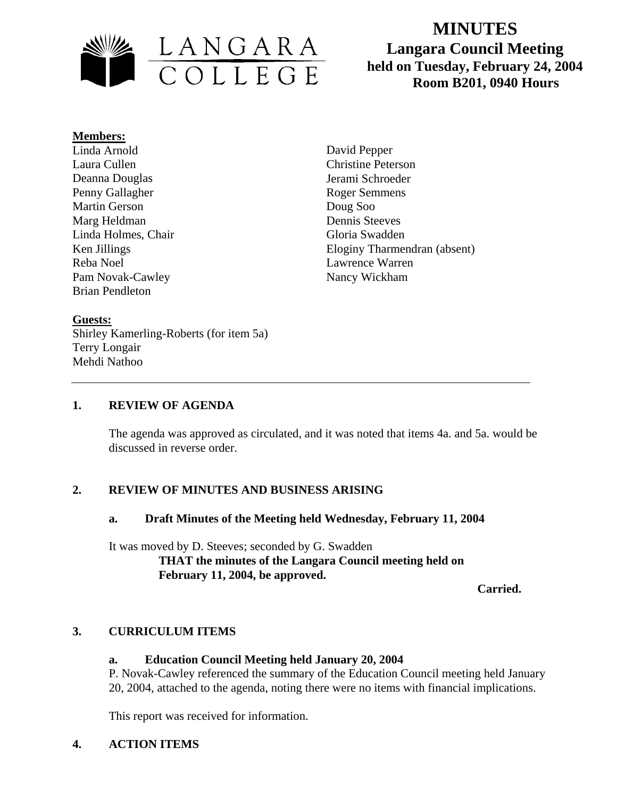

# **MINUTES Langara Council Meeting held on Tuesday, February 24, 2004**  LANGARA<br>
COLLEGE held on Tuesday, February 24, 2<br>
Room B201, 0940 Hours

#### **Members:**

Linda Arnold Laura Cullen Deanna Douglas Penny Gallagher Martin Gerson Marg Heldman Linda Holmes, Chair Ken Jillings Reba Noel Pam Novak-Cawley Brian Pendleton

David Pepper Christine Peterson Jerami Schroeder Roger Semmens Doug Soo Dennis Steeves Gloria Swadden Eloginy Tharmendran (absent) Lawrence Warren Nancy Wickham

## **Guests:**

Shirley Kamerling-Roberts (for item 5a) Terry Longair Mehdi Nathoo

## **1. REVIEW OF AGENDA**

The agenda was approved as circulated, and it was noted that items 4a. and 5a. would be discussed in reverse order.

## **2. REVIEW OF MINUTES AND BUSINESS ARISING**

## **a. Draft Minutes of the Meeting held Wednesday, February 11, 2004**

It was moved by D. Steeves; seconded by G. Swadden **THAT the minutes of the Langara Council meeting held on February 11, 2004, be approved.** 

 **Carried.** 

## **3. CURRICULUM ITEMS**

## **a. Education Council Meeting held January 20, 2004**

P. Novak-Cawley referenced the summary of the Education Council meeting held January 20, 2004, attached to the agenda, noting there were no items with financial implications.

This report was received for information.

## **4. ACTION ITEMS**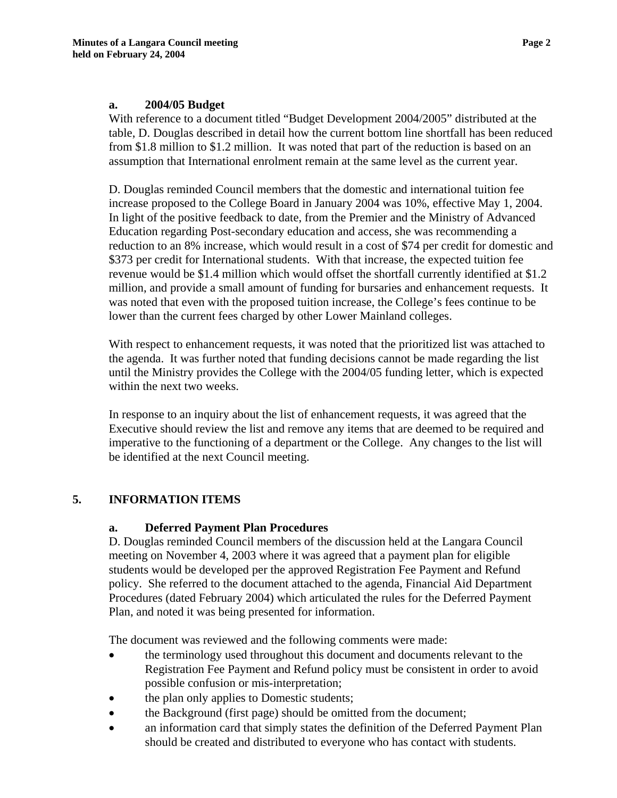#### **a. 2004/05 Budget**

With reference to a document titled "Budget Development 2004/2005" distributed at the table, D. Douglas described in detail how the current bottom line shortfall has been reduced from \$1.8 million to \$1.2 million. It was noted that part of the reduction is based on an assumption that International enrolment remain at the same level as the current year.

D. Douglas reminded Council members that the domestic and international tuition fee increase proposed to the College Board in January 2004 was 10%, effective May 1, 2004. In light of the positive feedback to date, from the Premier and the Ministry of Advanced Education regarding Post-secondary education and access, she was recommending a reduction to an 8% increase, which would result in a cost of \$74 per credit for domestic and \$373 per credit for International students. With that increase, the expected tuition fee revenue would be \$1.4 million which would offset the shortfall currently identified at \$1.2 million, and provide a small amount of funding for bursaries and enhancement requests. It was noted that even with the proposed tuition increase, the College's fees continue to be lower than the current fees charged by other Lower Mainland colleges.

With respect to enhancement requests, it was noted that the prioritized list was attached to the agenda. It was further noted that funding decisions cannot be made regarding the list until the Ministry provides the College with the 2004/05 funding letter, which is expected within the next two weeks.

In response to an inquiry about the list of enhancement requests, it was agreed that the Executive should review the list and remove any items that are deemed to be required and imperative to the functioning of a department or the College. Any changes to the list will be identified at the next Council meeting.

## **5. INFORMATION ITEMS**

## **a. Deferred Payment Plan Procedures**

 D. Douglas reminded Council members of the discussion held at the Langara Council meeting on November 4, 2003 where it was agreed that a payment plan for eligible students would be developed per the approved Registration Fee Payment and Refund policy. She referred to the document attached to the agenda, Financial Aid Department Procedures (dated February 2004) which articulated the rules for the Deferred Payment Plan, and noted it was being presented for information.

The document was reviewed and the following comments were made:

- the terminology used throughout this document and documents relevant to the Registration Fee Payment and Refund policy must be consistent in order to avoid possible confusion or mis-interpretation;
- the plan only applies to Domestic students;
- the Background (first page) should be omitted from the document;
- an information card that simply states the definition of the Deferred Payment Plan should be created and distributed to everyone who has contact with students.